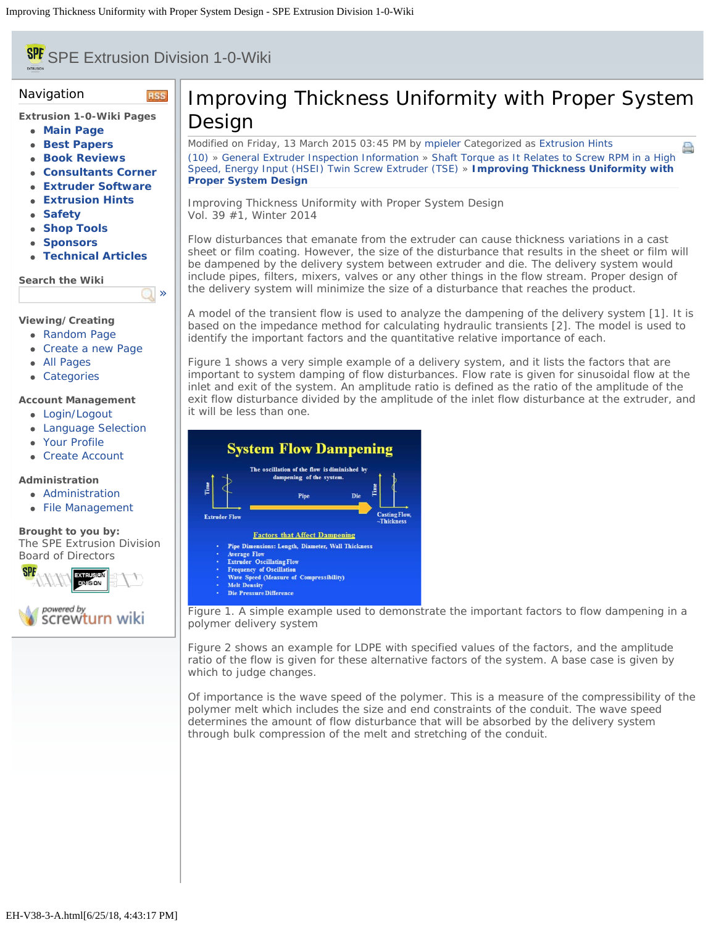# <span id="page-0-0"></span>**SPE** SPE Extrusion Division 1-0-Wiki

**RSS** 

 $\Box$ 

### Navigation

**Extrusion 1-0-Wiki Pages**

- **[Main Page](file:///Users/spe/websites/Extrusion%20Hints/extrusionwiki.com/wiki/MainPage.html)**
- **[Best Papers](file:///Users/spe/websites/Extrusion%20Hints/extrusionwiki.com/wiki/BestPapers.html)**
- **[Book Reviews](file:///Users/spe/websites/Extrusion%20Hints/extrusionwiki.com/wiki/BookReviews.html)**
- **[Consultants Corner](file:///Users/spe/websites/Extrusion%20Hints/extrusionwiki.com/wiki/ConsultantsCorner.html)**
- **[Extruder Software](file:///Users/spe/websites/Extrusion%20Hints/extrusionwiki.com/wiki/ExtruderSoftware.html)**
- **[Extrusion Hints](file:///Users/spe/websites/Extrusion%20Hints/extrusionwiki.com/wiki/ExtrusionHints.html)**
- **[Safety](file:///Users/spe/websites/Extrusion%20Hints/extrusionwiki.com/wiki/Safety.html)**
- **[Shop Tools](file:///Users/spe/websites/Extrusion%20Hints/extrusionwiki.com/wiki/ShopTools.html) [Sponsors](file:///Users/spe/websites/Extrusion%20Hints/extrusionwiki.com/wiki/SponsorsMain.html)**
- 
- **[Technical Articles](file:///Users/spe/websites/Extrusion%20Hints/extrusionwiki.com/wiki/POTM.html)**

**Search the Wiki**

**Viewing/Creating**

- [Random Page](file:///Users/spe/websites/Extrusion%20Hints/extrusionwiki.com/wiki/EH-V22-2-G.html)
- [Create a new Page](file:///Users/spe/websites/Extrusion%20Hints/extrusionwiki.com/wiki/Login1c96.html)
- [All Pages](file:///Users/spe/websites/Extrusion%20Hints/extrusionwiki.com/wiki/AllPages.html)
- [Categories](file:///Users/spe/websites/Extrusion%20Hints/extrusionwiki.com/wiki/Category.html)

#### **Account Management**

- [Login/Logout](file:///Users/spe/websites/Extrusion%20Hints/extrusionwiki.com/wiki/Login.html)
- [Language Selection](file:///Users/spe/websites/Extrusion%20Hints/extrusionwiki.com/wiki/Language.html)
- [Your Profile](file:///Users/spe/websites/Extrusion%20Hints/extrusionwiki.com/wiki/Login4c84.html)
- [Create Account](file:///Users/spe/websites/Extrusion%20Hints/extrusionwiki.com/wiki/Register.html)

#### **Administration**

- [Administration](file:///Users/spe/websites/Extrusion%20Hints/extrusionwiki.com/wiki/Login2fcc.html)
- [File Management](file:///Users/spe/websites/Extrusion%20Hints/extrusionwiki.com/wiki/Upload.html)

**Brought to you by:** The SPE Extrusion Division [Board of Directors](file:///Users/spe/websites/Extrusion%20Hints/extrusion.4spe.org/index.html)



## Improving Thickness Uniformity with Proper System Design

Modified on Friday, 13 March 2015 03:45 PM by [mpieler](file:///Users/spe/websites/Extrusion%20Hints/extrusionwiki.com/wiki/User67ec.html?Username=mpieler) Categorized as [Extrusion Hints](file:///Users/spe/websites/Extrusion%20Hints/extrusionwiki.com/wiki/AllPages019f.html?Cat=Extrusion%20Hints) 量 [\(10\)](#page-0-0) » [General Extruder Inspection Information](file:///Users/spe/websites/Extrusion%20Hints/extrusionwiki.com/wiki/EH-V36-3-B.html) » [Shaft Torque as It Relates to Screw RPM in a High](file:///Users/spe/websites/Extrusion%20Hints/extrusionwiki.com/wiki/EH-V36-3-C.html) [Speed, Energy Input \(HSEI\) Twin Screw Extruder \(TSE\)](file:///Users/spe/websites/Extrusion%20Hints/extrusionwiki.com/wiki/EH-V36-3-C.html) » **[Improving Thickness Uniformity with](#page-0-0) [Proper System Design](#page-0-0)**

Improving Thickness Uniformity with Proper System Design Vol. 39 #1, Winter 2014

Flow disturbances that emanate from the extruder can cause thickness variations in a cast sheet or film coating. However, the size of the disturbance that results in the sheet or film will be dampened by the delivery system between extruder and die. The delivery system would include pipes, filters, mixers, valves or any other things in the flow stream. Proper design of the delivery system will minimize the size of a disturbance that reaches the product.

A model of the transient flow is used to analyze the dampening of the delivery system [1]. It is based on the impedance method for calculating hydraulic transients [2]. The model is used to identify the important factors and the quantitative relative importance of each.

Figure 1 shows a very simple example of a delivery system, and it lists the factors that are important to system damping of flow disturbances. Flow rate is given for sinusoidal flow at the inlet and exit of the system. An amplitude ratio is defined as the ratio of the amplitude of the exit flow disturbance divided by the amplitude of the inlet flow disturbance at the extruder, and it will be less than one.



Figure 1. A simple example used to demonstrate the important factors to flow dampening in a polymer delivery system

Figure 2 shows an example for LDPE with specified values of the factors, and the amplitude ratio of the flow is given for these alternative factors of the system. A base case is given by which to judge changes.

Of importance is the wave speed of the polymer. This is a measure of the compressibility of the polymer melt which includes the size and end constraints of the conduit. The wave speed determines the amount of flow disturbance that will be absorbed by the delivery system through bulk compression of the melt and stretching of the conduit.